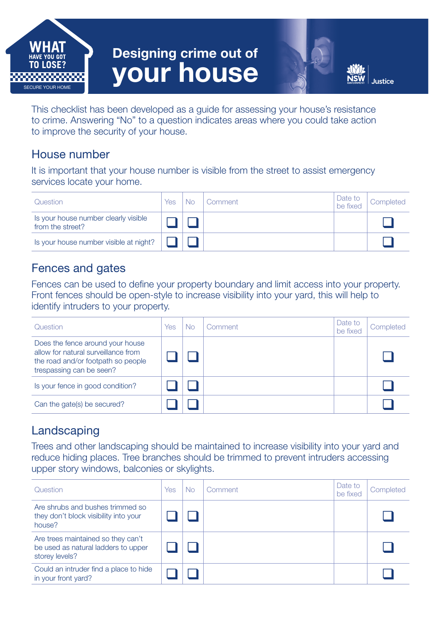

# Designing crime out of your house

This checklist has been developed as a guide for assessing your house's resistance to crime. Answering "No" to a question indicates areas where you could take action to improve the security of your house.

#### House number

It is important that your house number is visible from the street to assist emergency services locate your home.

| Question                                                 | Yes | No | Comment | Date to<br>be fixed | Completed |
|----------------------------------------------------------|-----|----|---------|---------------------|-----------|
| Is your house number clearly visible<br>from the street? |     |    |         |                     |           |
| Is your house number visible at night?                   |     |    |         |                     |           |

# Fences and gates

Fences can be used to define your property boundary and limit access into your property. Front fences should be open-style to increase visibility into your yard, this will help to identify intruders to your property.

| Question                                                                                                                                  | Yes | No | Comment | Date to<br>be fixed | Completed |
|-------------------------------------------------------------------------------------------------------------------------------------------|-----|----|---------|---------------------|-----------|
| Does the fence around your house<br>allow for natural surveillance from<br>the road and/or footpath so people<br>trespassing can be seen? |     |    |         |                     |           |
| Is your fence in good condition?                                                                                                          |     |    |         |                     |           |
| Can the gate(s) be secured?                                                                                                               |     |    |         |                     |           |

# Landscaping

Trees and other landscaping should be maintained to increase visibility into your yard and reduce hiding places. Tree branches should be trimmed to prevent intruders accessing upper story windows, balconies or skylights.

| Question                                                                                    | Yes | No. | Comment | Date to<br>be fixed | Completed |
|---------------------------------------------------------------------------------------------|-----|-----|---------|---------------------|-----------|
| Are shrubs and bushes trimmed so<br>they don't block visibility into your<br>house?         |     |     |         |                     |           |
| Are trees maintained so they can't<br>be used as natural ladders to upper<br>storey levels? |     |     |         |                     |           |
| Could an intruder find a place to hide<br>in your front yard?                               |     |     |         |                     |           |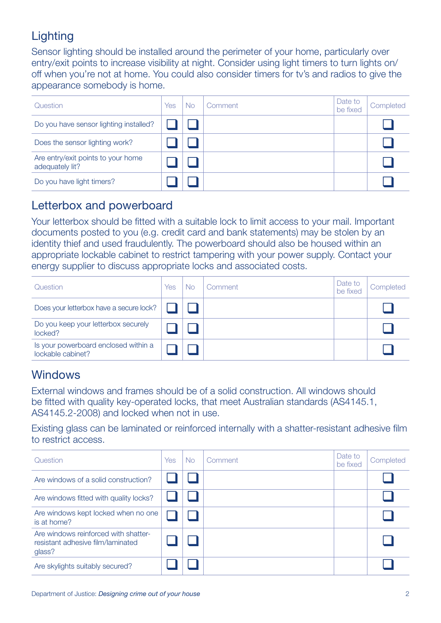# **Lighting**

Sensor lighting should be installed around the perimeter of your home, particularly over entry/exit points to increase visibility at night. Consider using light timers to turn lights on/ off when you're not at home. You could also consider timers for tv's and radios to give the appearance somebody is home.

| Question                                              | Yes | No | Comment | Date to<br>be fixed | Completed |
|-------------------------------------------------------|-----|----|---------|---------------------|-----------|
| Do you have sensor lighting installed?                |     |    |         |                     |           |
| Does the sensor lighting work?                        |     |    |         |                     |           |
| Are entry/exit points to your home<br>adequately lit? |     |    |         |                     |           |
| Do you have light timers?                             |     |    |         |                     |           |

#### Letterbox and powerboard

Your letterbox should be fitted with a suitable lock to limit access to your mail. Important documents posted to you (e.g. credit card and bank statements) may be stolen by an identity thief and used fraudulently. The powerboard should also be housed within an appropriate lockable cabinet to restrict tampering with your power supply. Contact your energy supplier to discuss appropriate locks and associated costs.

| Question                                                  | Yes | No | Comment | Date to<br>be fixed | Completed |
|-----------------------------------------------------------|-----|----|---------|---------------------|-----------|
| Does your letterbox have a secure lock?                   |     |    |         |                     |           |
| Do you keep your letterbox securely<br>locked?            |     |    |         |                     |           |
| Is your powerboard enclosed within a<br>lockable cabinet? |     |    |         |                     |           |

# **Windows**

External windows and frames should be of a solid construction. All windows should be fitted with quality key-operated locks, that meet Australian standards (AS4145.1, AS4145.2-2008) and locked when not in use.

Existing glass can be laminated or reinforced internally with a shatter-resistant adhesive film to restrict access.

| Question                                                                            | <b>Yes</b> | No. | Comment | Date to<br>be fixed | Completed |
|-------------------------------------------------------------------------------------|------------|-----|---------|---------------------|-----------|
| Are windows of a solid construction?                                                |            |     |         |                     |           |
| Are windows fitted with quality locks?                                              |            |     |         |                     |           |
| Are windows kept locked when no one<br>is at home?                                  |            |     |         |                     |           |
| Are windows reinforced with shatter-<br>resistant adhesive film/laminated<br>glass? |            |     |         |                     |           |
| Are skylights suitably secured?                                                     |            |     |         |                     |           |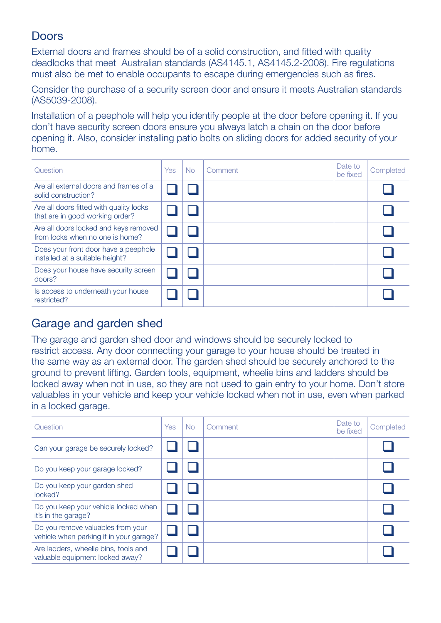# **Doors**

External doors and frames should be of a solid construction, and fitted with quality deadlocks that meet Australian standards (AS4145.1, AS4145.2-2008). Fire regulations must also be met to enable occupants to escape during emergencies such as fires.

Consider the purchase of a security screen door and ensure it meets Australian standards (AS5039-2008).

Installation of a peephole will help you identify people at the door before opening it. If you don't have security screen doors ensure you always latch a chain on the door before opening it. Also, consider installing patio bolts on sliding doors for added security of your home.

| Question                                                                   | Yes | <b>No</b> | Comment | Date to<br>be fixed | Completed |
|----------------------------------------------------------------------------|-----|-----------|---------|---------------------|-----------|
| Are all external doors and frames of a<br>solid construction?              |     |           |         |                     |           |
| Are all doors fitted with quality locks<br>that are in good working order? |     |           |         |                     |           |
| Are all doors locked and keys removed<br>from locks when no one is home?   |     |           |         |                     |           |
| Does your front door have a peephole<br>installed at a suitable height?    |     |           |         |                     |           |
| Does your house have security screen<br>doors?                             |     |           |         |                     |           |
| Is access to underneath your house<br>restricted?                          |     |           |         |                     |           |

#### Garage and garden shed

The garage and garden shed door and windows should be securely locked to restrict access. Any door connecting your garage to your house should be treated in the same way as an external door. The garden shed should be securely anchored to the ground to prevent lifting. Garden tools, equipment, wheelie bins and ladders should be locked away when not in use, so they are not used to gain entry to your home. Don't store valuables in your vehicle and keep your vehicle locked when not in use, even when parked in a locked garage.

| Question                                                                     | <b>Yes</b> | <b>No</b> | Comment | Date to<br>be fixed | Completed |
|------------------------------------------------------------------------------|------------|-----------|---------|---------------------|-----------|
| Can your garage be securely locked?                                          |            |           |         |                     |           |
| Do you keep your garage locked?                                              |            |           |         |                     |           |
| Do you keep your garden shed<br>locked?                                      |            |           |         |                     |           |
| Do you keep your vehicle locked when<br>it's in the garage?                  |            |           |         |                     |           |
| Do you remove valuables from your<br>vehicle when parking it in your garage? |            |           |         |                     |           |
| Are ladders, wheelie bins, tools and<br>valuable equipment locked away?      |            |           |         |                     |           |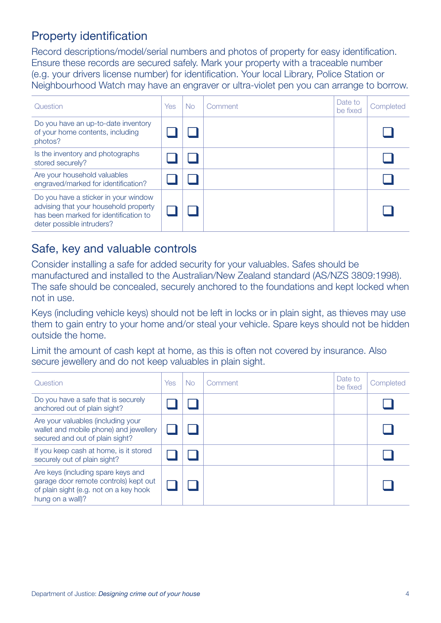# Property identification

Record descriptions/model/serial numbers and photos of property for easy identification. Ensure these records are secured safely. Mark your property with a traceable number (e.g. your drivers license number) for identification. Your local Library, Police Station or Neighbourhood Watch may have an engraver or ultra-violet pen you can arrange to borrow.

| Question                                                                                                                                            | Yes | No. | Comment | Date to<br>be fixed | Completed |
|-----------------------------------------------------------------------------------------------------------------------------------------------------|-----|-----|---------|---------------------|-----------|
| Do you have an up-to-date inventory<br>of your home contents, including<br>photos?                                                                  |     |     |         |                     |           |
| Is the inventory and photographs<br>stored securely?                                                                                                |     |     |         |                     |           |
| Are your household valuables<br>engraved/marked for identification?                                                                                 |     |     |         |                     |           |
| Do you have a sticker in your window<br>advising that your household property<br>has been marked for identification to<br>deter possible intruders? |     |     |         |                     |           |

#### Safe, key and valuable controls

Consider installing a safe for added security for your valuables. Safes should be manufactured and installed to the Australian/New Zealand standard (AS/NZS 3809:1998). The safe should be concealed, securely anchored to the foundations and kept locked when not in use.

Keys (including vehicle keys) should not be left in locks or in plain sight, as thieves may use them to gain entry to your home and/or steal your vehicle. Spare keys should not be hidden outside the home.

Limit the amount of cash kept at home, as this is often not covered by insurance. Also secure jewellery and do not keep valuables in plain sight.

| Question                                                                                                                                  | <b>Yes</b> | No. | Comment | Date to<br>be fixed | Completed |
|-------------------------------------------------------------------------------------------------------------------------------------------|------------|-----|---------|---------------------|-----------|
| Do you have a safe that is securely<br>anchored out of plain sight?                                                                       |            |     |         |                     |           |
| Are your valuables (including your<br>wallet and mobile phone) and jewellery<br>secured and out of plain sight?                           |            |     |         |                     |           |
| If you keep cash at home, is it stored<br>securely out of plain sight?                                                                    |            |     |         |                     |           |
| Are keys (including spare keys and<br>garage door remote controls) kept out<br>of plain sight (e.g. not on a key hook<br>hung on a wall)? |            |     |         |                     |           |